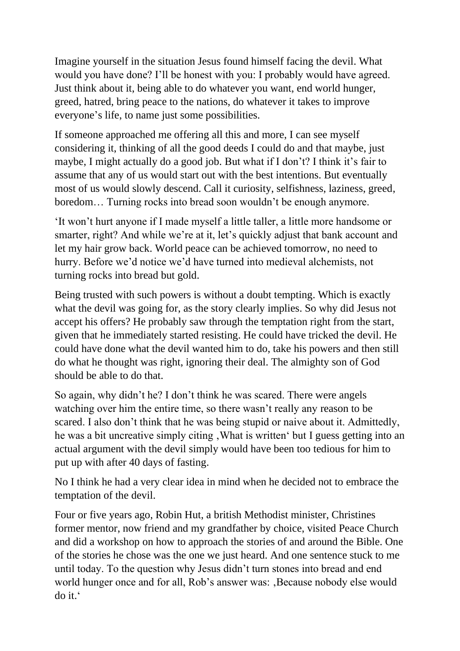Imagine yourself in the situation Jesus found himself facing the devil. What would you have done? I'll be honest with you: I probably would have agreed. Just think about it, being able to do whatever you want, end world hunger, greed, hatred, bring peace to the nations, do whatever it takes to improve everyone's life, to name just some possibilities.

If someone approached me offering all this and more, I can see myself considering it, thinking of all the good deeds I could do and that maybe, just maybe, I might actually do a good job. But what if I don't? I think it's fair to assume that any of us would start out with the best intentions. But eventually most of us would slowly descend. Call it curiosity, selfishness, laziness, greed, boredom… Turning rocks into bread soon wouldn't be enough anymore.

'It won't hurt anyone if I made myself a little taller, a little more handsome or smarter, right? And while we're at it, let's quickly adjust that bank account and let my hair grow back. World peace can be achieved tomorrow, no need to hurry. Before we'd notice we'd have turned into medieval alchemists, not turning rocks into bread but gold.

Being trusted with such powers is without a doubt tempting. Which is exactly what the devil was going for, as the story clearly implies. So why did Jesus not accept his offers? He probably saw through the temptation right from the start, given that he immediately started resisting. He could have tricked the devil. He could have done what the devil wanted him to do, take his powers and then still do what he thought was right, ignoring their deal. The almighty son of God should be able to do that.

So again, why didn't he? I don't think he was scared. There were angels watching over him the entire time, so there wasn't really any reason to be scared. I also don't think that he was being stupid or naive about it. Admittedly, he was a bit uncreative simply citing, What is written' but I guess getting into an actual argument with the devil simply would have been too tedious for him to put up with after 40 days of fasting.

No I think he had a very clear idea in mind when he decided not to embrace the temptation of the devil.

Four or five years ago, Robin Hut, a british Methodist minister, Christines former mentor, now friend and my grandfather by choice, visited Peace Church and did a workshop on how to approach the stories of and around the Bible. One of the stories he chose was the one we just heard. And one sentence stuck to me until today. To the question why Jesus didn't turn stones into bread and end world hunger once and for all, Rob's answer was: , Because nobody else would do it.'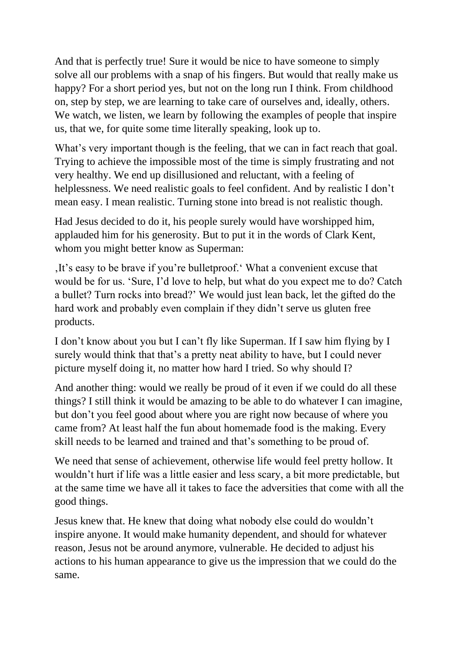And that is perfectly true! Sure it would be nice to have someone to simply solve all our problems with a snap of his fingers. But would that really make us happy? For a short period yes, but not on the long run I think. From childhood on, step by step, we are learning to take care of ourselves and, ideally, others. We watch, we listen, we learn by following the examples of people that inspire us, that we, for quite some time literally speaking, look up to.

What's very important though is the feeling, that we can in fact reach that goal. Trying to achieve the impossible most of the time is simply frustrating and not very healthy. We end up disillusioned and reluctant, with a feeling of helplessness. We need realistic goals to feel confident. And by realistic I don't mean easy. I mean realistic. Turning stone into bread is not realistic though.

Had Jesus decided to do it, his people surely would have worshipped him, applauded him for his generosity. But to put it in the words of Clark Kent, whom you might better know as Superman:

'It's easy to be brave if you're bulletproof.' What a convenient excuse that would be for us. 'Sure, I'd love to help, but what do you expect me to do? Catch a bullet? Turn rocks into bread?' We would just lean back, let the gifted do the hard work and probably even complain if they didn't serve us gluten free products.

I don't know about you but I can't fly like Superman. If I saw him flying by I surely would think that that's a pretty neat ability to have, but I could never picture myself doing it, no matter how hard I tried. So why should I?

And another thing: would we really be proud of it even if we could do all these things? I still think it would be amazing to be able to do whatever I can imagine, but don't you feel good about where you are right now because of where you came from? At least half the fun about homemade food is the making. Every skill needs to be learned and trained and that's something to be proud of.

We need that sense of achievement, otherwise life would feel pretty hollow. It wouldn't hurt if life was a little easier and less scary, a bit more predictable, but at the same time we have all it takes to face the adversities that come with all the good things.

Jesus knew that. He knew that doing what nobody else could do wouldn't inspire anyone. It would make humanity dependent, and should for whatever reason, Jesus not be around anymore, vulnerable. He decided to adjust his actions to his human appearance to give us the impression that we could do the same.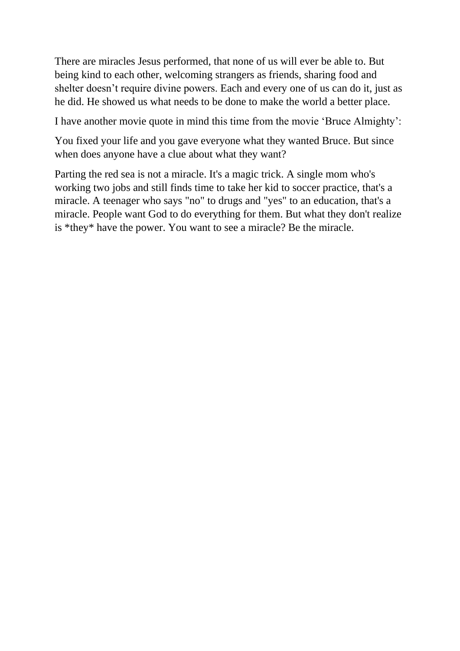There are miracles Jesus performed, that none of us will ever be able to. But being kind to each other, welcoming strangers as friends, sharing food and shelter doesn't require divine powers. Each and every one of us can do it, just as he did. He showed us what needs to be done to make the world a better place.

I have another movie quote in mind this time from the movie 'Bruce Almighty':

You fixed your life and you gave everyone what they wanted Bruce. But since when does anyone have a clue about what they want?

Parting the red sea is not a miracle. It's a magic trick. A single mom who's working two jobs and still finds time to take her kid to soccer practice, that's a miracle. A teenager who says "no" to drugs and "yes" to an education, that's a miracle. People want God to do everything for them. But what they don't realize is \*they\* have the power. You want to see a miracle? Be the miracle.